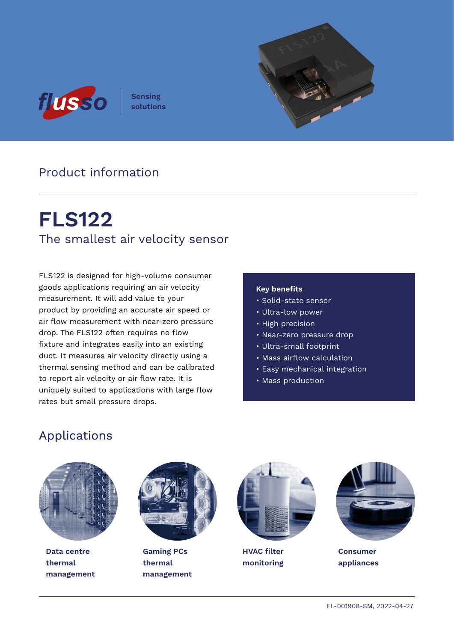

**Sensing solutions**



#### Product information

# **FLS122** The smallest air velocity sensor

FLS122 is designed for high-volume consumer goods applications requiring an air velocity measurement. It will add value to your product by providing an accurate air speed or air flow measurement with near-zero pressure drop. The FLS122 often requires no flow fixture and integrates easily into an existing duct. It measures air velocity directly using a thermal sensing method and can be calibrated to report air velocity or air flow rate. It is uniquely suited to applications with large flow rates but small pressure drops.

#### **Key benefits**

- Solid-state sensor
- Ultra-low power
- High precision
- Near-zero pressure drop
- Ultra-small footprint
- Mass airflow calculation
- Easy mechanical integration
- Mass production

## Applications



**Data centre thermal management**



**Gaming PCs thermal management**



**HVAC filter monitoring**



**Consumer appliances**